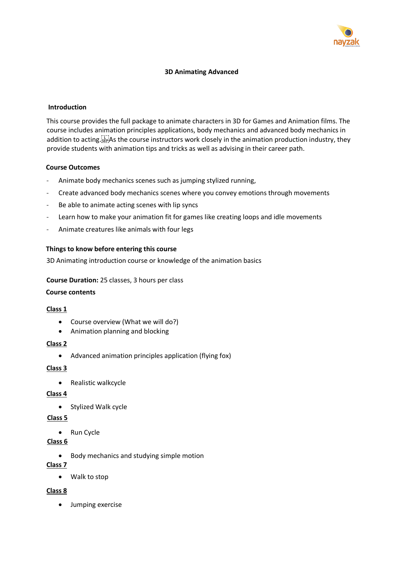

### **3D Animating Advanced**

#### **Introduction**

This course provides the full package to animate characters in 3D for Games and Animation films. The course includes animation principles applications, body mechanics and advanced body mechanics in addition to acting.<sup>[17]</sup> As the course instructors work closely in the animation production industry, they provide students with animation tips and tricks as well as advising in their career path.

#### **Course Outcomes**

- Animate body mechanics scenes such as jumping stylized running,
- Create advanced body mechanics scenes where you convey emotions through movements
- Be able to animate acting scenes with lip syncs
- Learn how to make your animation fit for games like creating loops and idle movements
- Animate creatures like animals with four legs

### **Things to know before entering this course**

3D Animating introduction course or knowledge of the animation basics

#### **Course Duration:** 25 classes, 3 hours per class

### **Course contents**

### **Class 1**

- Course overview (What we will do?)
- Animation planning and blocking

### **Class 2**

• Advanced animation principles application (flying fox)

### **Class 3**

• Realistic walkcycle

### **Class 4**

• Stylized Walk cycle

### **Class 5**

• Run Cycle

### **Class 6**

• Body mechanics and studying simple motion

### **Class 7**

• Walk to stop

### **Class 8**

• Jumping exercise